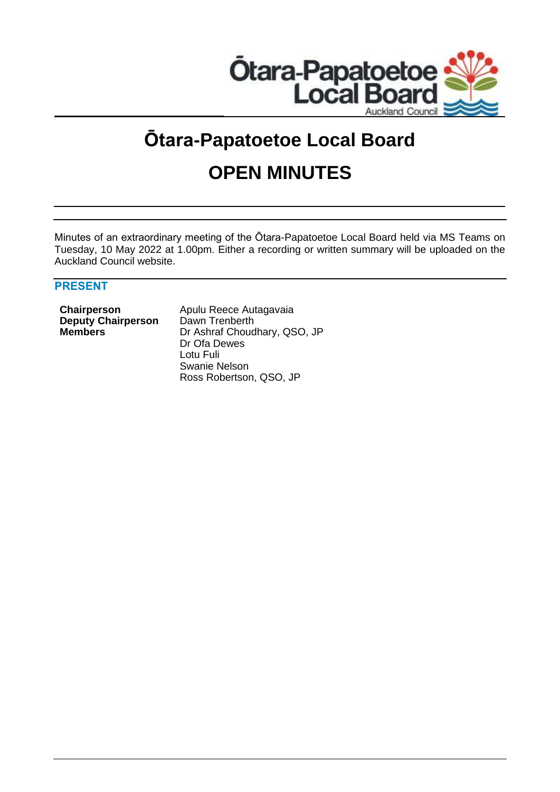

# **Ōtara-Papatoetoe Local Board**

# **OPEN MINUTES**

Minutes of an extraordinary meeting of the Ōtara-Papatoetoe Local Board held via MS Teams on Tuesday, 10 May 2022 at 1.00pm. Either a recording or written summary will be uploaded on the Auckland Council website.

## **PRESENT**

**Deputy Chairperson** Dawn Trenberth

**Chairperson Apulu Reece Autagavaia Members** Dr Ashraf Choudhary, QSO, JP Dr Ofa Dewes Lotu Fuli Swanie Nelson Ross Robertson, QSO, JP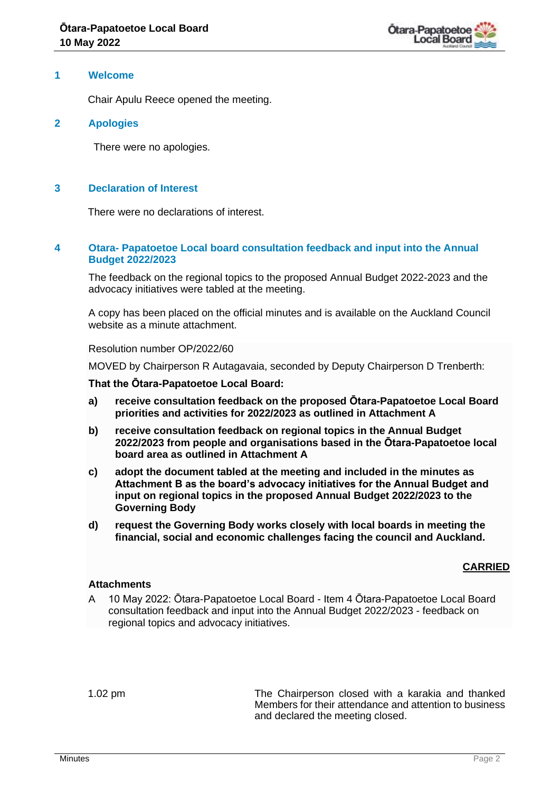

#### **1 Welcome**

Chair Apulu Reece opened the meeting.

#### **2 Apologies**

There were no apologies.

#### **3 Declaration of Interest**

There were no declarations of interest.

#### **4 Otara- Papatoetoe Local board consultation feedback and input into the Annual Budget 2022/2023**

The feedback on the regional topics to the proposed Annual Budget 2022-2023 and the advocacy initiatives were tabled at the meeting.

A copy has been placed on the official minutes and is available on the Auckland Council website as a minute attachment.

Resolution number OP/2022/60

MOVED by Chairperson R Autagavaia, seconded by Deputy Chairperson D Trenberth:

#### **That the Ōtara-Papatoetoe Local Board:**

- **a) receive consultation feedback on the proposed Ōtara-Papatoetoe Local Board priorities and activities for 2022/2023 as outlined in Attachment A**
- **b) receive consultation feedback on regional topics in the Annual Budget 2022/2023 from people and organisations based in the Ōtara-Papatoetoe local board area as outlined in Attachment A**
- **c) adopt the document tabled at the meeting and included in the minutes as Attachment B as the board's advocacy initiatives for the Annual Budget and input on regional topics in the proposed Annual Budget 2022/2023 to the Governing Body**
- **d) request the Governing Body works closely with local boards in meeting the financial, social and economic challenges facing the council and Auckland.**

### **CARRIED**

#### **Attachments**

A 10 May 2022: Ōtara-Papatoetoe Local Board - Item 4 Ōtara-Papatoetoe Local Board consultation feedback and input into the Annual Budget 2022/2023 - feedback on regional topics and advocacy initiatives.

1.02 pm The Chairperson closed with a karakia and thanked Members for their attendance and attention to business and declared the meeting closed.